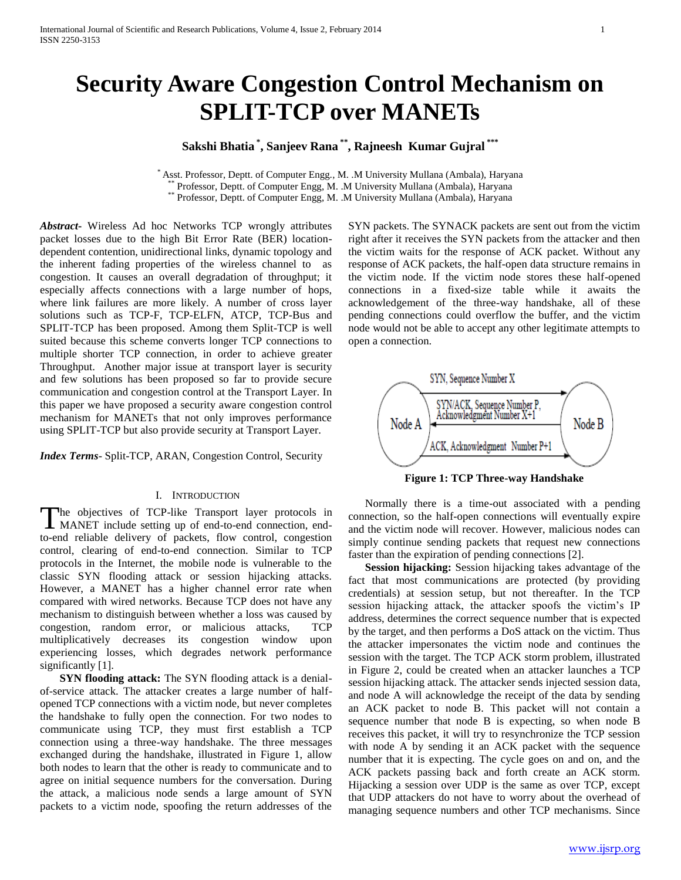# **Security Aware Congestion Control Mechanism on SPLIT-TCP over MANETs**

## **Sakshi Bhatia \* , Sanjeev Rana \*\* , Rajneesh Kumar Gujral \*\*\***

\* Asst. Professor, Deptt. of Computer Engg., M. .M University Mullana (Ambala), Haryana Professor, Deptt. of Computer Engg, M. .M University Mullana (Ambala), Haryana

\*\* Professor, Deptt. of Computer Engg, M. .M University Mullana (Ambala), Haryana

*Abstract***-** Wireless Ad hoc Networks TCP wrongly attributes packet losses due to the high Bit Error Rate (BER) locationdependent contention, unidirectional links, dynamic topology and the inherent fading properties of the wireless channel to as congestion. It causes an overall degradation of throughput; it especially affects connections with a large number of hops, where link failures are more likely. A number of cross layer solutions such as TCP-F, TCP-ELFN, ATCP, TCP-Bus and SPLIT-TCP has been proposed. Among them Split-TCP is well suited because this scheme converts longer TCP connections to multiple shorter TCP connection, in order to achieve greater Throughput. Another major issue at transport layer is security and few solutions has been proposed so far to provide secure communication and congestion control at the Transport Layer. In this paper we have proposed a security aware congestion control mechanism for MANETs that not only improves performance using SPLIT-TCP but also provide security at Transport Layer.

*Index Terms*- Split-TCP, ARAN, Congestion Control, Security

#### I. INTRODUCTION

The objectives of TCP-like Transport layer protocols in The objectives of TCP-like Transport layer protocols in MANET include setting up of end-to-end connection, endto-end reliable delivery of packets, flow control, congestion control, clearing of end-to-end connection. Similar to TCP protocols in the Internet, the mobile node is vulnerable to the classic SYN flooding attack or session hijacking attacks. However, a MANET has a higher channel error rate when compared with wired networks. Because TCP does not have any mechanism to distinguish between whether a loss was caused by congestion, random error, or malicious attacks, TCP multiplicatively decreases its congestion window upon experiencing losses, which degrades network performance significantly [1].

**SYN flooding attack:** The SYN flooding attack is a denialof-service attack. The attacker creates a large number of halfopened TCP connections with a victim node, but never completes the handshake to fully open the connection. For two nodes to communicate using TCP, they must first establish a TCP connection using a three-way handshake. The three messages exchanged during the handshake, illustrated in Figure 1, allow both nodes to learn that the other is ready to communicate and to agree on initial sequence numbers for the conversation. During the attack, a malicious node sends a large amount of SYN packets to a victim node, spoofing the return addresses of the

SYN packets. The SYNACK packets are sent out from the victim right after it receives the SYN packets from the attacker and then the victim waits for the response of ACK packet. Without any response of ACK packets, the half-open data structure remains in the victim node. If the victim node stores these half-opened connections in a fixed-size table while it awaits the acknowledgement of the three-way handshake, all of these pending connections could overflow the buffer, and the victim node would not be able to accept any other legitimate attempts to open a connection.



**Figure 1: TCP Three-way Handshake**

Normally there is a time-out associated with a pending connection, so the half-open connections will eventually expire and the victim node will recover. However, malicious nodes can simply continue sending packets that request new connections faster than the expiration of pending connections [2].

**Session hijacking:** Session hijacking takes advantage of the fact that most communications are protected (by providing credentials) at session setup, but not thereafter. In the TCP session hijacking attack, the attacker spoofs the victim's IP address, determines the correct sequence number that is expected by the target, and then performs a DoS attack on the victim. Thus the attacker impersonates the victim node and continues the session with the target. The TCP ACK storm problem, illustrated in Figure 2, could be created when an attacker launches a TCP session hijacking attack. The attacker sends injected session data, and node A will acknowledge the receipt of the data by sending an ACK packet to node B. This packet will not contain a sequence number that node B is expecting, so when node B receives this packet, it will try to resynchronize the TCP session with node A by sending it an ACK packet with the sequence number that it is expecting. The cycle goes on and on, and the ACK packets passing back and forth create an ACK storm. Hijacking a session over UDP is the same as over TCP, except that UDP attackers do not have to worry about the overhead of managing sequence numbers and other TCP mechanisms. Since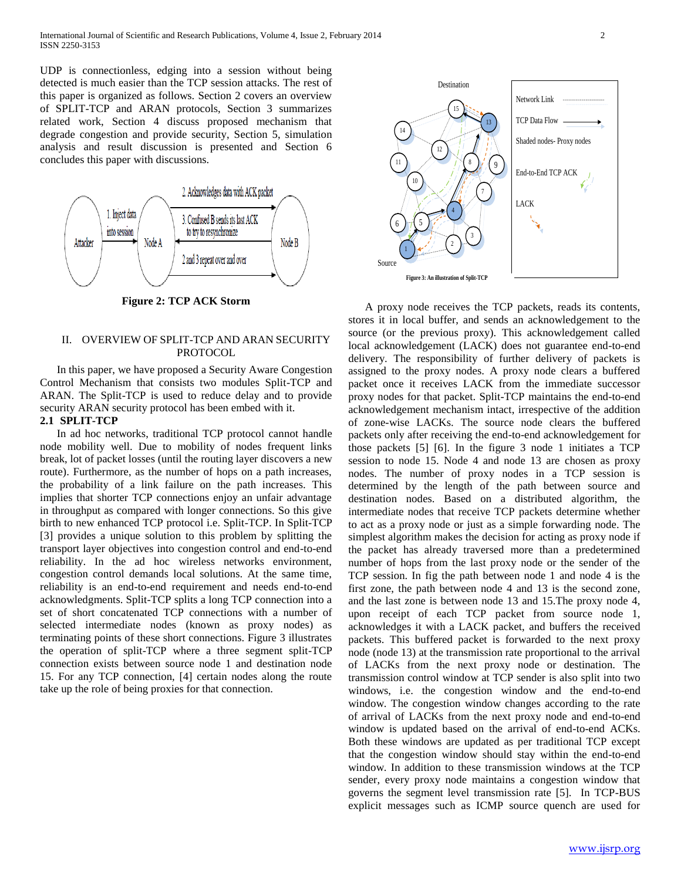UDP is connectionless, edging into a session without being detected is much easier than the TCP session attacks. The rest of this paper is organized as follows. Section 2 covers an overview of SPLIT-TCP and ARAN protocols, Section 3 summarizes related work, Section 4 discuss proposed mechanism that degrade congestion and provide security, Section 5, simulation analysis and result discussion is presented and Section 6 concludes this paper with discussions.



**Figure 2: TCP ACK Storm**

#### II. OVERVIEW OF SPLIT-TCP AND ARAN SECURITY PROTOCOL

In this paper, we have proposed a Security Aware Congestion Control Mechanism that consists two modules Split-TCP and ARAN. The Split-TCP is used to reduce delay and to provide security ARAN security protocol has been embed with it.

#### **2.1 SPLIT-TCP**

In ad hoc networks, traditional TCP protocol cannot handle node mobility well. Due to mobility of nodes frequent links break, lot of packet losses (until the routing layer discovers a new route). Furthermore, as the number of hops on a path increases, the probability of a link failure on the path increases. This implies that shorter TCP connections enjoy an unfair advantage in throughput as compared with longer connections. So this give birth to new enhanced TCP protocol i.e. Split-TCP. In Split-TCP [3] provides a unique solution to this problem by splitting the transport layer objectives into congestion control and end-to-end reliability. In the ad hoc wireless networks environment, congestion control demands local solutions. At the same time, reliability is an end-to-end requirement and needs end-to-end acknowledgments. Split-TCP splits a long TCP connection into a set of short concatenated TCP connections with a number of selected intermediate nodes (known as proxy nodes) as terminating points of these short connections. Figure 3 illustrates the operation of split-TCP where a three segment split-TCP connection exists between source node 1 and destination node 15. For any TCP connection, [4] certain nodes along the route take up the role of being proxies for that connection.



A proxy node receives the TCP packets, reads its contents, stores it in local buffer, and sends an acknowledgement to the source (or the previous proxy). This acknowledgement called local acknowledgement (LACK) does not guarantee end-to-end delivery. The responsibility of further delivery of packets is assigned to the proxy nodes. A proxy node clears a buffered packet once it receives LACK from the immediate successor proxy nodes for that packet. Split-TCP maintains the end-to-end acknowledgement mechanism intact, irrespective of the addition of zone-wise LACKs. The source node clears the buffered packets only after receiving the end-to-end acknowledgement for those packets [5] [6]. In the figure 3 node 1 initiates a TCP session to node 15. Node 4 and node 13 are chosen as proxy nodes. The number of proxy nodes in a TCP session is determined by the length of the path between source and destination nodes. Based on a distributed algorithm, the intermediate nodes that receive TCP packets determine whether to act as a proxy node or just as a simple forwarding node. The simplest algorithm makes the decision for acting as proxy node if the packet has already traversed more than a predetermined number of hops from the last proxy node or the sender of the TCP session. In fig the path between node 1 and node 4 is the first zone, the path between node 4 and 13 is the second zone, and the last zone is between node 13 and 15.The proxy node 4, upon receipt of each TCP packet from source node 1, acknowledges it with a LACK packet, and buffers the received packets. This buffered packet is forwarded to the next proxy node (node 13) at the transmission rate proportional to the arrival of LACKs from the next proxy node or destination. The transmission control window at TCP sender is also split into two windows, i.e. the congestion window and the end-to-end window. The congestion window changes according to the rate of arrival of LACKs from the next proxy node and end-to-end window is updated based on the arrival of end-to-end ACKs. Both these windows are updated as per traditional TCP except that the congestion window should stay within the end-to-end window. In addition to these transmission windows at the TCP sender, every proxy node maintains a congestion window that governs the segment level transmission rate [5]. In TCP-BUS explicit messages such as ICMP source quench are used for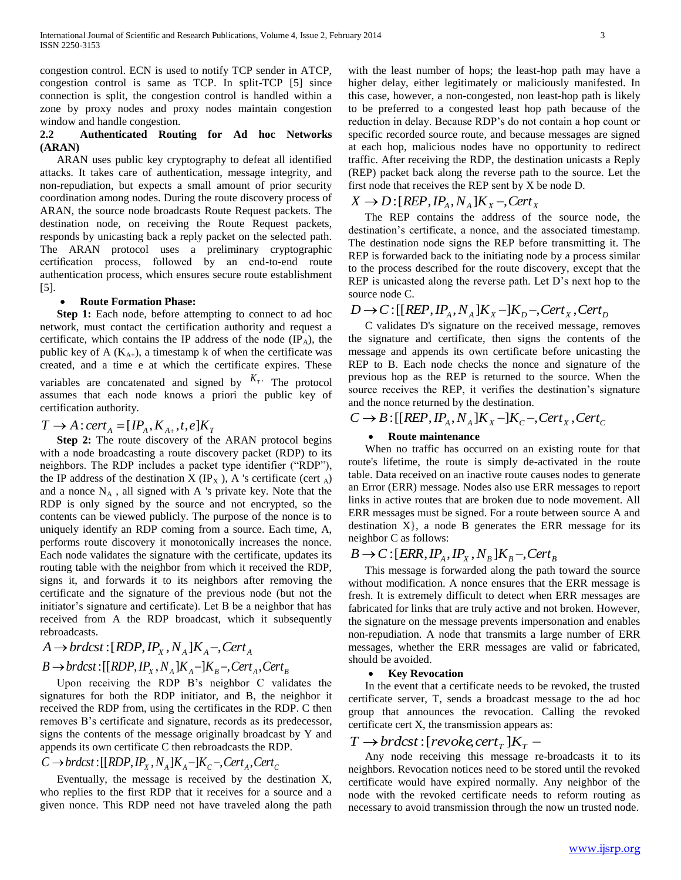congestion control. ECN is used to notify TCP sender in ATCP, congestion control is same as TCP. In split-TCP [5] since connection is split, the congestion control is handled within a zone by proxy nodes and proxy nodes maintain congestion window and handle congestion.

#### **2.2 Authenticated Routing for Ad hoc Networks (ARAN)**

ARAN uses public key cryptography to defeat all identified attacks. It takes care of authentication, message integrity, and non-repudiation, but expects a small amount of prior security coordination among nodes. During the route discovery process of ARAN, the source node broadcasts Route Request packets. The destination node, on receiving the Route Request packets, responds by unicasting back a reply packet on the selected path. The ARAN protocol uses a preliminary cryptographic certification process, followed by an end-to-end route authentication process, which ensures secure route establishment [5].

#### **Route Formation Phase:**

**Step 1:** Each node, before attempting to connect to ad hoc network, must contact the certification authority and request a certificate, which contains the IP address of the node  $(\text{IP}_A)$ , the public key of A  $(K_{A+})$ , a timestamp k of when the certificate was created, and a time e at which the certificate expires. These variables are concatenated and signed by  $K_T$ . The protocol assumes that each node knows a priori the public key of certification authority.

## $T \rightarrow A$ : *cert*<sub>A</sub> = [ $IP_A$ ,  $K_{A+}$ ,  $t$ ,  $e$ ] $K_T$

**Step 2:** The route discovery of the ARAN protocol begins with a node broadcasting a route discovery packet (RDP) to its neighbors. The RDP includes a packet type identifier ("RDP"), the IP address of the destination  $X(IP_X)$ , A 's certificate (cert A) and a nonce  $N_A$ , all signed with A 's private key. Note that the RDP is only signed by the source and not encrypted, so the contents can be viewed publicly. The purpose of the nonce is to uniquely identify an RDP coming from a source. Each time, A, performs route discovery it monotonically increases the nonce. Each node validates the signature with the certificate, updates its routing table with the neighbor from which it received the RDP, signs it, and forwards it to its neighbors after removing the certificate and the signature of the previous node (but not the initiator's signature and certificate). Let B be a neighbor that has received from A the RDP broadcast, which it subsequently rebroadcasts.

 $A \rightarrow brdcst$  :  $[RDP, IP_x, N_A]K_A -$ , Cert<sub>A</sub>  $B \rightarrow \text{brdcst}: [[RDP, IP_x, N_A]K_A - ]K_B - \text{Cert}_A, \text{Cert}_B$ 

Upon receiving the RDP B's neighbor C validates the signatures for both the RDP initiator, and B, the neighbor it received the RDP from, using the certificates in the RDP. C then removes B's certificate and signature, records as its predecessor, signs the contents of the message originally broadcast by Y and appends its own certificate C then rebroadcasts the RDP.

### $C \rightarrow \text{brd}$  *K*<sub>*X*</sub>  $\cdot$  [[*RDP*,  $IP_X$ ,  $N_A$ ] $K_A - K_C$   $\cdot$  *Cert<sub>A</sub>*, *Cert<sub>C</sub>*

Eventually, the message is received by the destination X, who replies to the first RDP that it receives for a source and a given nonce. This RDP need not have traveled along the path

with the least number of hops; the least-hop path may have a higher delay, either legitimately or maliciously manifested. In this case, however, a non-congested, non least-hop path is likely to be preferred to a congested least hop path because of the reduction in delay. Because RDP's do not contain a hop count or specific recorded source route, and because messages are signed at each hop, malicious nodes have no opportunity to redirect traffic. After receiving the RDP, the destination unicasts a Reply (REP) packet back along the reverse path to the source. Let the first node that receives the REP sent by X be node D.

 $X \rightarrow D: [REP, IP_A, N_A]K_X$  –, Cert<sub>X</sub>

The REP contains the address of the source node, the destination's certificate, a nonce, and the associated timestamp. The destination node signs the REP before transmitting it. The REP is forwarded back to the initiating node by a process similar to the process described for the route discovery, except that the REP is unicasted along the reverse path. Let D's next hop to the source node C.

## $D \rightarrow C$ : [[*REP*,  $IP_A$ ,  $N_A$ ] $K_X$  -] $K_D$  -, Cert<sub>X</sub>, Cert<sub>D</sub>

C validates D's signature on the received message, removes the signature and certificate, then signs the contents of the message and appends its own certificate before unicasting the REP to B. Each node checks the nonce and signature of the previous hop as the REP is returned to the source. When the source receives the REP, it verifies the destination's signature and the nonce returned by the destination.

## $C \rightarrow B: [[REP, IP<sub>A</sub>, N<sub>A</sub>]K<sub>X</sub> -]K<sub>C</sub> - , cert<sub>X</sub>, Cert<sub>C</sub>$

#### **Route maintenance**

When no traffic has occurred on an existing route for that route's lifetime, the route is simply de-activated in the route table. Data received on an inactive route causes nodes to generate an Error (ERR) message. Nodes also use ERR messages to report links in active routes that are broken due to node movement. All ERR messages must be signed. For a route between source A and destination  $X$ }, a node B generates the ERR message for its neighbor C as follows:

## $B \rightarrow C$ :  $[ERR, IP_A, IP_X, N_B]K_B$  –,  $Cert_B$

This message is forwarded along the path toward the source without modification. A nonce ensures that the ERR message is fresh. It is extremely difficult to detect when ERR messages are fabricated for links that are truly active and not broken. However, the signature on the message prevents impersonation and enables non-repudiation. A node that transmits a large number of ERR messages, whether the ERR messages are valid or fabricated, should be avoided.

#### **Key Revocation**

In the event that a certificate needs to be revoked, the trusted certificate server, T, sends a broadcast message to the ad hoc group that announces the revocation. Calling the revoked certificate cert X, the transmission appears as:

## $T \rightarrow b$ rdcst:[*revoke*,*cert*<sub>*T*</sub></sub> ] $K_T$  –

Any node receiving this message re-broadcasts it to its neighbors. Revocation notices need to be stored until the revoked certificate would have expired normally. Any neighbor of the node with the revoked certificate needs to reform routing as necessary to avoid transmission through the now un trusted node.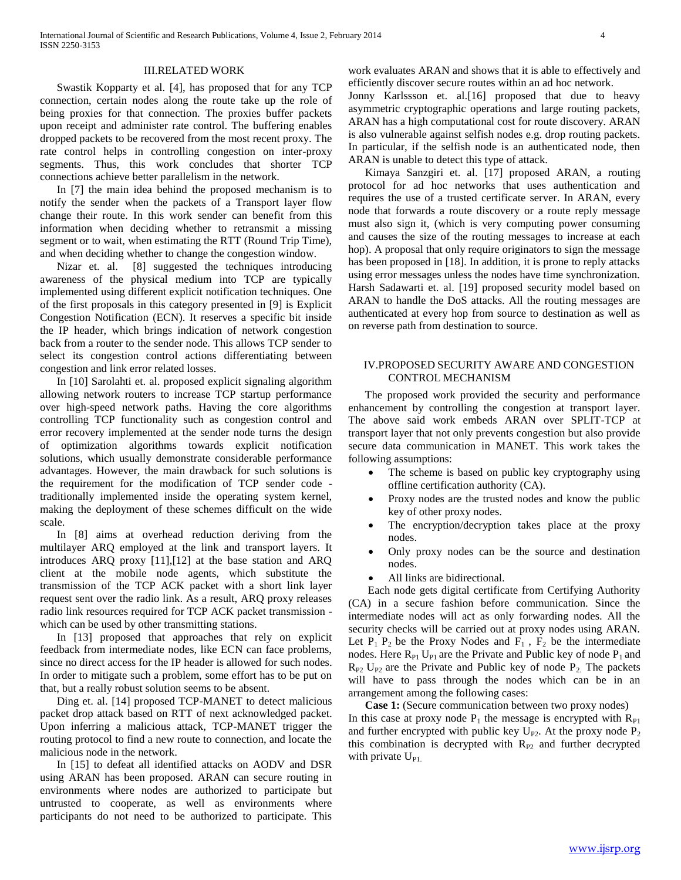#### III.RELATED WORK

Swastik Kopparty et al. [4], has proposed that for any TCP connection, certain nodes along the route take up the role of being proxies for that connection. The proxies buffer packets upon receipt and administer rate control. The buffering enables dropped packets to be recovered from the most recent proxy. The rate control helps in controlling congestion on inter-proxy segments. Thus, this work concludes that shorter TCP connections achieve better parallelism in the network.

In [7] the main idea behind the proposed mechanism is to notify the sender when the packets of a Transport layer flow change their route. In this work sender can benefit from this information when deciding whether to retransmit a missing segment or to wait, when estimating the RTT (Round Trip Time), and when deciding whether to change the congestion window.

Nizar et. al. [8] suggested the techniques introducing awareness of the physical medium into TCP are typically implemented using different explicit notification techniques. One of the first proposals in this category presented in [9] is Explicit Congestion Notification (ECN). It reserves a specific bit inside the IP header, which brings indication of network congestion back from a router to the sender node. This allows TCP sender to select its congestion control actions differentiating between congestion and link error related losses.

In [10] Sarolahti et. al. proposed explicit signaling algorithm allowing network routers to increase TCP startup performance over high-speed network paths. Having the core algorithms controlling TCP functionality such as congestion control and error recovery implemented at the sender node turns the design of optimization algorithms towards explicit notification solutions, which usually demonstrate considerable performance advantages. However, the main drawback for such solutions is the requirement for the modification of TCP sender code traditionally implemented inside the operating system kernel, making the deployment of these schemes difficult on the wide scale.

In [8] aims at overhead reduction deriving from the multilayer ARQ employed at the link and transport layers. It introduces ARQ proxy [11],[12] at the base station and ARQ client at the mobile node agents, which substitute the transmission of the TCP ACK packet with a short link layer request sent over the radio link. As a result, ARQ proxy releases radio link resources required for TCP ACK packet transmission which can be used by other transmitting stations.

In [13] proposed that approaches that rely on explicit feedback from intermediate nodes, like ECN can face problems, since no direct access for the IP header is allowed for such nodes. In order to mitigate such a problem, some effort has to be put on that, but a really robust solution seems to be absent.

Ding et. al. [14] proposed TCP-MANET to detect malicious packet drop attack based on RTT of next acknowledged packet. Upon inferring a malicious attack, TCP-MANET trigger the routing protocol to find a new route to connection, and locate the malicious node in the network.

In [15] to defeat all identified attacks on AODV and DSR using ARAN has been proposed. ARAN can secure routing in environments where nodes are authorized to participate but untrusted to cooperate, as well as environments where participants do not need to be authorized to participate. This

work evaluates ARAN and shows that it is able to effectively and efficiently discover secure routes within an ad hoc network.

Jonny Karlssson et. al.[16] proposed that due to heavy asymmetric cryptographic operations and large routing packets, ARAN has a high computational cost for route discovery. ARAN is also vulnerable against selfish nodes e.g. drop routing packets. In particular, if the selfish node is an authenticated node, then ARAN is unable to detect this type of attack.

Kimaya Sanzgiri et. al. [17] proposed ARAN, a routing protocol for ad hoc networks that uses authentication and requires the use of a trusted certificate server. In ARAN, every node that forwards a route discovery or a route reply message must also sign it, (which is very computing power consuming and causes the size of the routing messages to increase at each hop). A proposal that only require originators to sign the message has been proposed in [18]. In addition, it is prone to reply attacks using error messages unless the nodes have time synchronization. Harsh Sadawarti et. al. [19] proposed security model based on ARAN to handle the DoS attacks. All the routing messages are authenticated at every hop from source to destination as well as on reverse path from destination to source.

#### IV.PROPOSED SECURITY AWARE AND CONGESTION CONTROL MECHANISM

The proposed work provided the security and performance enhancement by controlling the congestion at transport layer. The above said work embeds ARAN over SPLIT-TCP at transport layer that not only prevents congestion but also provide secure data communication in MANET. This work takes the following assumptions:

- The scheme is based on public key cryptography using offline certification authority (CA).
- Proxy nodes are the trusted nodes and know the public key of other proxy nodes.
- The encryption/decryption takes place at the proxy nodes.
- Only proxy nodes can be the source and destination nodes.
- All links are bidirectional.

Each node gets digital certificate from Certifying Authority (CA) in a secure fashion before communication. Since the intermediate nodes will act as only forwarding nodes. All the security checks will be carried out at proxy nodes using ARAN. Let  $P_1$   $P_2$  be the Proxy Nodes and  $F_1$ ,  $F_2$  be the intermediate nodes. Here  $R_{P1} U_{P1}$  are the Private and Public key of node  $P_1$  and  $R_{P2}$  U<sub>P2</sub> are the Private and Public key of node  $P_2$ . The packets will have to pass through the nodes which can be in an arrangement among the following cases:

**Case 1:** (Secure communication between two proxy nodes) In this case at proxy node  $P_1$  the message is encrypted with  $R_{P1}$ and further encrypted with public key  $U_{P2}$ . At the proxy node  $P_2$ this combination is decrypted with  $R_{P2}$  and further decrypted with private  $U_{\text{PL}}$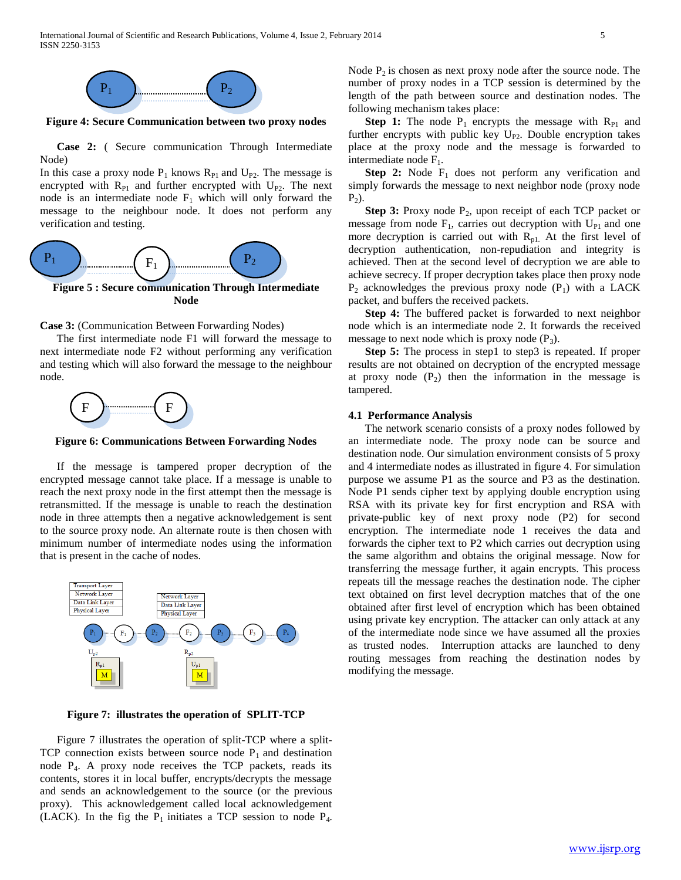International Journal of Scientific and Research Publications, Volume 4, Issue 2, February 2014 5 ISSN 2250-3153



**Figure 4: Secure Communication between two proxy nodes**

**Case 2:** ( Secure communication Through Intermediate Node)

In this case a proxy node  $P_1$  knows  $R_{P1}$  and  $U_{P2}$ . The message is encrypted with  $R_{P1}$  and further encrypted with  $U_{P2}$ . The next node is an intermediate node  $F_1$  which will only forward the message to the neighbour node. It does not perform any verification and testing.



#### Case 3: (Communication Between Forwarding Nodes)

The first intermediate node F1 will forward the message to next intermediate node F2 without performing any verification and testing which will also forward the message to the neighbour node.



**Figure 6: Communications Between Forwarding Nodes** 

If the message is tampered proper decryption of the encrypted message cannot take place. If a message is unable to  $m$  and the new second is reach the next proxy node in the first attempt then the message is retransmitted. If the message is unable to reach the destination node in three attempts then a negative acknowledgement is sent 1to the source proxy node. An alternate route is then chosen with minimum number of intermediate nodes using the information that is present in the cache of nodes.



**Figure 7: illustrates the operation of SPLIT-TCP**

Figure 7 illustrates the operation of split-TCP where a split-TCP connection exists between source node  $P_1$  and destination node P4. A proxy node receives the TCP packets, reads its contents, stores it in local buffer, encrypts/decrypts the message and sends an acknowledgement to the source (or the previous proxy). This acknowledgement called local acknowledgement (LACK). In the fig the  $P_1$  initiates a TCP session to node  $P_4$ . Node  $P_2$  is chosen as next proxy node after the source node. The number of proxy nodes in a TCP session is determined by the length of the path between source and destination nodes. The following mechanism takes place:

**Step 1:** The node  $P_1$  encrypts the message with  $R_{P1}$  and further encrypts with public key  $U_{P2}$ . Double encryption takes place at the proxy node and the message is forwarded to intermediate node  $F_1$ .

**Step 2:** Node  $F_1$  does not perform any verification and simply forwards the message to next neighbor node (proxy node  $P_2$ ).

**Step 3:** Proxy node P<sub>2</sub>, upon receipt of each TCP packet or message from node  $F_1$ , carries out decryption with  $U_{P1}$  and one more decryption is carried out with  $R_{p1}$ . At the first level of decryption authentication, non-repudiation and integrity is achieved. Then at the second level of decryption we are able to achieve secrecy. If proper decryption takes place then proxy node  $P_2$  acknowledges the previous proxy node  $(P_1)$  with a LACK packet, and buffers the received packets.

**Step 4:** The buffered packet is forwarded to next neighbor node which is an intermediate node 2. It forwards the received message to next node which is proxy node  $(P_3)$ .

**Step 5:** The process in step1 to step3 is repeated. If proper results are not obtained on decryption of the encrypted message at proxy node  $(P_2)$  then the information in the message is tampered.

#### **4.1 Performance Analysis**

The network scenario consists of a proxy nodes followed by an intermediate node. The proxy node can be source and destination node. Our simulation environment consists of 5 proxy and 4 intermediate nodes as illustrated in figure 4. For simulation purpose we assume P1 as the source and P3 as the destination. Node P1 sends cipher text by applying double encryption using RSA with its private key for first encryption and RSA with private-public key of next proxy node (P2) for second encryption. The intermediate node 1 receives the data and forwards the cipher text to P2 which carries out decryption using the same algorithm and obtains the original message. Now for transferring the message further, it again encrypts. This process repeats till the message reaches the destination node. The cipher text obtained on first level decryption matches that of the one obtained after first level of encryption which has been obtained using private key encryption. The attacker can only attack at any of the intermediate node since we have assumed all the proxies as trusted nodes. Interruption attacks are launched to deny routing messages from reaching the destination nodes by modifying the message.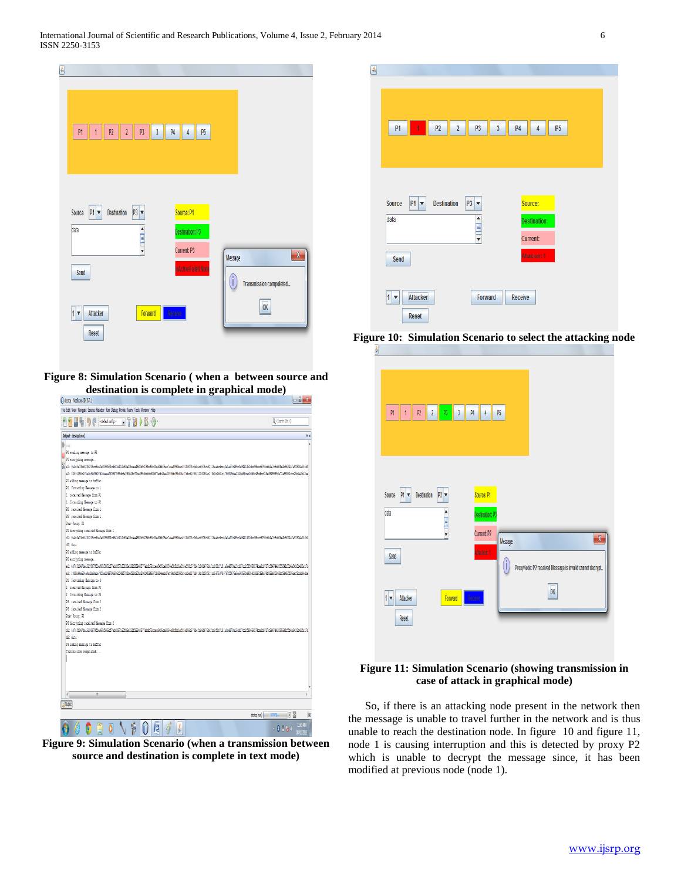

**Figure 8: Simulation Scenario ( when a between source and destination is complete in graphical mode)**

| destcp - NetBeans IDE 67.1                                                                                                                                                                   | oß.                                        |
|----------------------------------------------------------------------------------------------------------------------------------------------------------------------------------------------|--------------------------------------------|
| File Edit View Navigate Source Refactor Run Debug Profile Team Tools Window Help                                                                                                             |                                            |
| $\Box$ $\Box$ $\Box$ $\Box$ $\Box$ $\Box$<br>PP E U D ( ceatoric)                                                                                                                            | Q - Search (Chi+C)                         |
| Output - destrp (run)                                                                                                                                                                        | $\bullet x$                                |
| ma:                                                                                                                                                                                          |                                            |
| P1 sending message to P3                                                                                                                                                                     |                                            |
| P1 encrypting message                                                                                                                                                                        |                                            |
| E els sedientbb323f206ccBa2e8098F72cd541d11Ib63e20bdes4682b94756c63c10ef1bb75ec7aea6991bec5516073cfdbecb576c562216eabcdcce3e1af7cd89c0e94113f1dbc98bccF79fcbb2a7c9d306e2b9f22a7a93304af0fd0  |                                            |
| e2: 06f94060c2f5e4b94f8d01d1feeea7f0937589dc6e75bDfc1Tbe395dddfdb63d87edb46ae2095fbf9ddfc6fffdbc115682104186ac276d0c26dc418f819baa204fe8fcab0fd6c45ddcr61fe6649989fe71a6995Lccc25d4a2b42ee   |                                            |
| P1 adding message to buffer                                                                                                                                                                  |                                            |
| P1 forwarding Message to 1                                                                                                                                                                   |                                            |
| 1 received Message from PL                                                                                                                                                                   |                                            |
| 1 forwarding Message to R2                                                                                                                                                                   |                                            |
| R2 received Message from 1                                                                                                                                                                   |                                            |
| R2 received Message from 1                                                                                                                                                                   |                                            |
| Poer Popey: 39                                                                                                                                                                               |                                            |
| W2 decrypting received Message from 1                                                                                                                                                        |                                            |
| dl: %4d6e7Ubb328E2U5ccRba2e80996T2cd541d11Ib63e2Ubde4682h94756c63cU0efUbb75ec1aea699Ibec451U6073cfdbecb576c562216eabcdcce3e1af7c489c0e94113f1dbc98bcc679fcbb2a7c9d916e2b9f22a7a93384afUfdU   |                                            |
| di: data                                                                                                                                                                                     |                                            |
| 72 adding message to buffer                                                                                                                                                                  |                                            |
| W encrypting message                                                                                                                                                                         |                                            |
| e1: 487856047de15338679fbe965f666cf7ebd397160fd5e121f2824U5T7abdb72ccea945bce80666910fbb1ef52e968c579befc88d4TRbdfcc8f1c7131a0a487Ra15cdlTcc2f89666174caUbb717c964T4205584Lffb4a561Ub42fa1Td |                                            |
| e2: 280bb46e614e5adada1e73f1e124F75b616dJ4Bf73Zbef31c601b290d45468f1b834eebdTe956d5df59ddf59dbc12bd1b0d1fbf812cd54T61789f767fz4764a64U5Tb4D516419Z27d64a76f189a01063bc96456f35aef5odd54dbe   |                                            |
| 92 forwarding Message to 2                                                                                                                                                                   |                                            |
| 2 received Message from N2                                                                                                                                                                   |                                            |
| 2 forwarding Message to 23                                                                                                                                                                   |                                            |
| R3 received Message from 2                                                                                                                                                                   |                                            |
| R3 received Message from 2                                                                                                                                                                   |                                            |
| Poer Popey: 32<br>93 decreting received Message from 2                                                                                                                                       |                                            |
| d1: 48785007Ad1579878586665677eb6897160656121f28240577abdh72cea9416ce9066016bbLef92e968c579pefe8847Radfce8f1011a0a4878a15cdf7ec259666174ca0b071c664742055841ffb4a5610b42fa17el               |                                            |
| di: data                                                                                                                                                                                     |                                            |
| 23 adding message to buffer                                                                                                                                                                  |                                            |
| Transmission compeleted                                                                                                                                                                      |                                            |
|                                                                                                                                                                                              |                                            |
|                                                                                                                                                                                              |                                            |
|                                                                                                                                                                                              |                                            |
|                                                                                                                                                                                              |                                            |
|                                                                                                                                                                                              |                                            |
| $\epsilon$                                                                                                                                                                                   |                                            |
| <b>Output</b>                                                                                                                                                                                |                                            |
|                                                                                                                                                                                              |                                            |
|                                                                                                                                                                                              | $\mathbb{R}$<br>destro (run)<br><b>INS</b> |
| Æ<br><b>Silie)</b>                                                                                                                                                                           | $-0.1$ km $^{-12690}_{-80020}$             |
|                                                                                                                                                                                              |                                            |



| P1                         | 1        | P2                 | $\overline{\mathbf{2}}$ | P3                                                          | 3 | P <sub>4</sub> | 4                   | P <sub>5</sub> |  |  |
|----------------------------|----------|--------------------|-------------------------|-------------------------------------------------------------|---|----------------|---------------------|----------------|--|--|
|                            |          |                    |                         |                                                             |   |                |                     |                |  |  |
|                            |          |                    |                         |                                                             |   |                |                     |                |  |  |
|                            |          |                    |                         |                                                             |   |                |                     |                |  |  |
|                            |          |                    |                         |                                                             |   |                |                     |                |  |  |
| <b>Source</b>              | $P1 -$   | <b>Destination</b> |                         | $P3$ $\blacktriangledown$                                   |   |                | Source:             |                |  |  |
| data                       |          |                    |                         |                                                             |   |                | <b>Destination:</b> |                |  |  |
|                            |          |                    |                         | $\begin{array}{c}\n\bullet \\ \hline\n\bullet\n\end{array}$ |   |                |                     |                |  |  |
|                            |          |                    |                         |                                                             |   |                | <b>Current:</b>     |                |  |  |
| Send                       |          |                    |                         |                                                             |   |                | Attacker: 1         |                |  |  |
|                            |          |                    |                         |                                                             |   |                |                     |                |  |  |
|                            |          |                    |                         |                                                             |   |                |                     |                |  |  |
|                            |          |                    |                         |                                                             |   |                |                     |                |  |  |
| $1\vert\bm{\triangledown}$ | Attacker |                    |                         | Forward                                                     |   | <b>Receive</b> |                     |                |  |  |

**Figure 10: Simulation Scenario to select the attacking node**

| M<br>P <sub>2</sub><br>$\overline{1}$       | $\mathfrak{c}$<br>P4<br>P3<br>$\sqrt{3}$                                                                                                                                | P5<br>4                                                                                |
|---------------------------------------------|-------------------------------------------------------------------------------------------------------------------------------------------------------------------------|----------------------------------------------------------------------------------------|
|                                             |                                                                                                                                                                         |                                                                                        |
| Source<br>Destination<br>$M_{\overline{v}}$ | $P3$ $\blacktriangledown$<br>Source: P1                                                                                                                                 |                                                                                        |
| data                                        | $\begin{array}{c c c c c} \hline \textbf{a} & \textbf{b} & \textbf{b} \\ \hline \textbf{c} & \textbf{c} & \textbf{c} & \textbf{c} \\ \hline \end{array}$<br>Current: P2 | Destination: P3<br>$\pmb{\chi}$                                                        |
| Send                                        |                                                                                                                                                                         | Message<br>ktacker: 1<br>Œ<br>ProxyNode: P2 received Message is invalid cannot decrypt |
| $1$ $\overline{ }$<br>Attacker              | Forward<br>Receive                                                                                                                                                      | OK                                                                                     |
| Reset                                       |                                                                                                                                                                         |                                                                                        |

#### **Figure 11: Simulation Scenario (showing transmission in case of attack in graphical mode)**

So, if there is an attacking node present in the network then the message is unable to travel further in the network and is thus unable to reach the destination node. In figure 10 and figure 11, node 1 is causing interruption and this is detected by proxy P2 which is unable to decrypt the message since, it has been modified at previous node (node 1).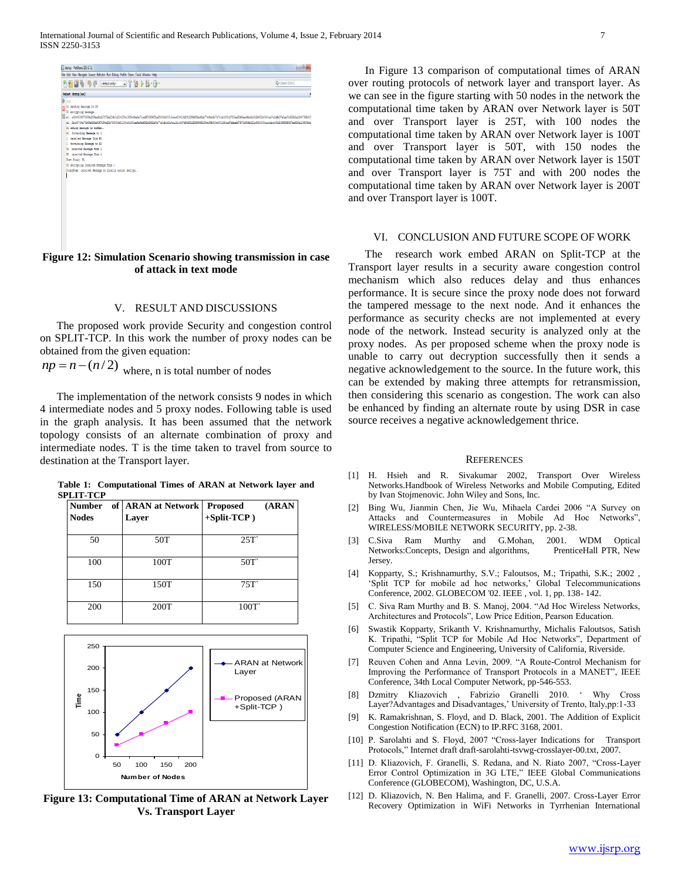| destcp - NetBeans IDE 6.7.1                                                                                                                                                                                                                                                                                                                                                                                                                                                                                                                                                                                                                                                                                                                             | ia B               |
|---------------------------------------------------------------------------------------------------------------------------------------------------------------------------------------------------------------------------------------------------------------------------------------------------------------------------------------------------------------------------------------------------------------------------------------------------------------------------------------------------------------------------------------------------------------------------------------------------------------------------------------------------------------------------------------------------------------------------------------------------------|--------------------|
| File Edit View Navigate Source Refactor Run Debug Profile Team Tools Window Help                                                                                                                                                                                                                                                                                                                                                                                                                                                                                                                                                                                                                                                                        |                    |
| PP B b O delatorio - T B B B O                                                                                                                                                                                                                                                                                                                                                                                                                                                                                                                                                                                                                                                                                                                          | Q - Search (Otl+I) |
| Output - destrp (run)                                                                                                                                                                                                                                                                                                                                                                                                                                                                                                                                                                                                                                                                                                                                   |                    |
| <b>Ext</b><br>Pl sending message to PS<br>21 encrypting message<br>46 al: aEb0239073604c263aalb1b7075a214b1c224ff9a395a6a7Lcaf67149601a29492d35616aba423610d3012364f6fa46dc71d64a3b1b70cbL302c272faef540aadkofcf42b052bf644ca7a2ddb07a1a87c325b1a1f45782b8f5<br>a3 - 2ba3F789a73b69a62Fa916T194a584-736116481294a61635ba9a9b67a77a1ab1d8a9aa181a657a71f3669651156499b699a53aad7ddawbf7571b4F6b171a6181538aadaba411b768988818f7aa531a4126382bdc<br>F1 adding message to buffer<br>F1 forwarding Hessage to 1<br>1 received Hessage from P1<br>1 forwarding Message to 32<br>32 received Message from 1<br>22 received Message from 1<br>Prev Progr: PL<br>32 decrypting received Hessage from 1<br>ProxyNode: received Message is invalid cannot decrypt |                    |

**Figure 12: Simulation Scenario showing transmission in case of attack in text mode**

#### V. RESULT AND DISCUSSIONS

The proposed work provide Security and congestion control on SPLIT-TCP. In this work the number of proxy nodes can be obtained from the given equation:

 $np = n - (n/2)$  where, n is total number of nodes

The implementation of the network consists 9 nodes in which 4 intermediate nodes and 5 proxy nodes. Following table is used in the graph analysis. It has been assumed that the network topology consists of an alternate combination of proxy and intermediate nodes. T is the time taken to travel from source to destination at the Transport layer.

**Table 1: Computational Times of ARAN at Network layer and SPLIT-TCP**

| <b>Number</b><br><b>Nodes</b> | of   ARAN at Network  <br>Layer | (ARAN<br><b>Proposed</b><br>$+Split-TCP$ ) |
|-------------------------------|---------------------------------|--------------------------------------------|
| 50                            | 50T                             | 25T                                        |
| 100                           | 100T                            | 50T                                        |
| 150                           | 150T                            | 75T                                        |
| 200                           | 200T                            | 100T                                       |



**Figure 13: Computational Time of ARAN at Network Layer Vs. Transport Layer**

In Figure 13 comparison of computational times of ARAN over routing protocols of network layer and transport layer. As we can see in the figure starting with 50 nodes in the network the computational time taken by ARAN over Network layer is 50T and over Transport layer is 25T, with 100 nodes the computational time taken by ARAN over Network layer is 100T and over Transport layer is 50T, with 150 nodes the computational time taken by ARAN over Network layer is 150T and over Transport layer is 75T and with 200 nodes the computational time taken by ARAN over Network layer is 200T and over Transport layer is 100T.

#### VI. CONCLUSION AND FUTURE SCOPE OF WORK

The research work embed ARAN on Split-TCP at the Transport layer results in a security aware congestion control mechanism which also reduces delay and thus enhances performance. It is secure since the proxy node does not forward the tampered message to the next node. And it enhances the performance as security checks are not implemented at every node of the network. Instead security is analyzed only at the proxy nodes. As per proposed scheme when the proxy node is unable to carry out decryption successfully then it sends a negative acknowledgement to the source. In the future work, this can be extended by making three attempts for retransmission, then considering this scenario as congestion. The work can also be enhanced by finding an alternate route by using DSR in case source receives a negative acknowledgement thrice.

#### **REFERENCES**

- [1] H. Hsieh and R. Sivakumar 2002, Transport Over Wireless Networks.Handbook of Wireless Networks and Mobile Computing, Edited by Ivan Stojmenovic. John Wiley and Sons, Inc.
- [2] Bing Wu, Jianmin Chen, Jie Wu, Mihaela Cardei 2006 "A Survey on Attacks and Countermeasures in Mobile Ad Hoc Networks", WIRELESS/MOBILE NETWORK SECURITY, pp. 2-38.
- [3] C.Siva Ram Murthy and G.Mohan, 2001. WDM Optical Networks:Concepts, Design and algorithms, PrenticeHall PTR, New Jersey.
- [4] Kopparty, S.; Krishnamurthy, S.V.; Faloutsos, M.; Tripathi, S.K.; 2002 , 'Split TCP for mobile ad hoc networks,' Global Telecommunications Conference, 2002. GLOBECOM '02. IEEE , vol. 1, pp. 138- 142.
- [5] C. Siva Ram Murthy and B. S. Manoj, 2004. "Ad Hoc Wireless Networks, Architectures and Protocols", Low Price Edition, Pearson Education.
- [6] Swastik Kopparty, Srikanth V. Krishnamurthy, Michalis Faloutsos, Satish K. Tripathi, "Split TCP for Mobile Ad Hoc Networks", Department of Computer Science and Engineering, University of California, Riverside.
- [7] Reuven Cohen and Anna Levin, 2009. "A Route-Control Mechanism for Improving the Performance of Transport Protocols in a MANET", IEEE Conference, 34th Local Computer Network, pp-546-553.
- [8] Dzmitry Kliazovich , Fabrizio Granelli 2010. ' Why Cross Layer?Advantages and Disadvantages,' University of Trento, Italy,pp:1-33
- [9] K. Ramakrishnan, S. Floyd, and D. Black, 2001. The Addition of Explicit Congestion Notification (ECN) to IP.RFC 3168, 2001.
- [10] P. Sarolahti and S. Floyd, 2007 "Cross-layer Indications for Transport Protocols," Internet draft draft-sarolahti-tsvwg-crosslayer-00.txt, 2007.
- [11] D. Kliazovich, F. Granelli, S. Redana, and N. Riato 2007, "Cross-Layer Error Control Optimization in 3G LTE," IEEE Global Communications Conference (GLOBECOM), Washington, DC, U.S.A.
- [12] D. Kliazovich, N. Ben Halima, and F. Granelli, 2007. Cross-Layer Error Recovery Optimization in WiFi Networks in Tyrrhenian International